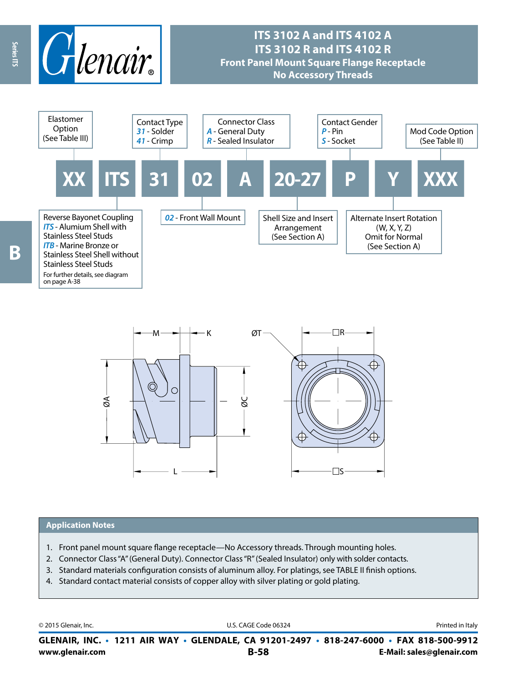

# **ITS 3102 A and ITS 4102 A ITS 3102 R and ITS 4102 R Front Panel Mount Square Flange Receptacle No Accessory Threads**





#### **Application Notes**

- 1. Front panel mount square flange receptacle—No Accessory threads. Through mounting holes.
- 2. Connector Class "A" (General Duty). Connector Class "R" (Sealed Insulator) only with solder contacts.
- 3. Standard materials configuration consists of aluminum alloy. For platings, see TABLE II finish options.
- 4. Standard contact material consists of copper alloy with silver plating or gold plating.

© 2015 Glenair, Inc. **Discription Construction Construction Construction Construction Construction Construction Construction Construction Construction Construction Construction Construction Construction Construction Constr** 

**www.glenair.com B-58 E-Mail: sales@glenair.com GLENAIR, INC. • 1211 AIR WAY • GLENDALE, CA 91201-2497 • 818-247-6000 • FAX 818-500-9912**

Series ITS